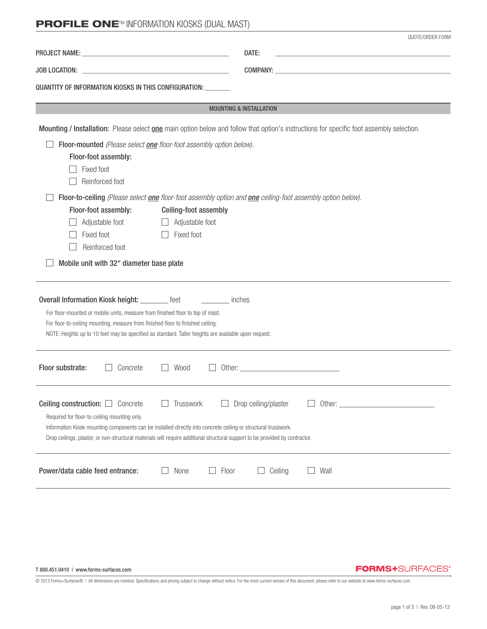# **PROFILE ONE<sup>TM</sup> INFORMATION KIOSKS (DUAL MAST)**

|                                                                                                                                                                                                                                                                                                                                                         | QUOTE/ORDER FORM                                                                                                                         |  |  |  |  |
|---------------------------------------------------------------------------------------------------------------------------------------------------------------------------------------------------------------------------------------------------------------------------------------------------------------------------------------------------------|------------------------------------------------------------------------------------------------------------------------------------------|--|--|--|--|
|                                                                                                                                                                                                                                                                                                                                                         | DATE:<br>the control of the control of the control of the control of the control of the control of                                       |  |  |  |  |
| <b>JOB LOCATION:</b><br>QUANTITY OF INFORMATION KIOSKS IN THIS CONFIGURATION: _______                                                                                                                                                                                                                                                                   |                                                                                                                                          |  |  |  |  |
|                                                                                                                                                                                                                                                                                                                                                         | <b>MOUNTING &amp; INSTALLATION</b>                                                                                                       |  |  |  |  |
|                                                                                                                                                                                                                                                                                                                                                         | Mounting / Installation: Please select one main option below and follow that option's instructions for specific foot assembly selection. |  |  |  |  |
| Floor-mounted (Please select one floor-foot assembly option below).<br>Floor-foot assembly:<br>Fixed foot<br>Reinforced foot                                                                                                                                                                                                                            |                                                                                                                                          |  |  |  |  |
| Floor-to-ceiling (Please select one floor-foot assembly option and one ceiling-foot assembly option below).<br>Floor-foot assembly:<br>Ceiling-foot assembly<br>Adjustable foot<br>Adjustable foot<br>Fixed foot<br>Fixed foot<br>Reinforced foot<br>Mobile unit with 32" diameter base plate                                                           |                                                                                                                                          |  |  |  |  |
| Overall Information Kiosk height: ________ feet<br>For floor-mounted or mobile units, measure from finished floor to top of mast.<br>For floor-to-ceiling mounting, measure from finished floor to finished ceiling.<br>NOTE: Heights up to 10 feet may be specified as standard. Taller heights are available upon request.                            | <b>Example 10</b> inches                                                                                                                 |  |  |  |  |
| Floor substrate:<br>Concrete<br>Wood                                                                                                                                                                                                                                                                                                                    |                                                                                                                                          |  |  |  |  |
| Ceiling construction: $\Box$<br>Concrete<br>Trusswork<br>Required for floor-to-ceiling mounting only.<br>Information Kiosk mounting components can be installed directly into concrete ceiling or structural trusswork.<br>Drop ceilings, plaster, or non-structural materials will require additional structural support to be provided by contractor. | Drop ceiling/plaster                                                                                                                     |  |  |  |  |
| Power/data cable feed entrance:<br>None                                                                                                                                                                                                                                                                                                                 | Ceiling<br>Wall<br>Floor                                                                                                                 |  |  |  |  |

T 800.451.0410 | www.forms-surfaces.com

#### **FORMS+**SURFACES®

© 2013 Forms+Surfaces® | All dimensions are nominal. Specifications and pricing subject to change without notice. For the most current version of this document, please refer to our website at www.forms-surfaces.com.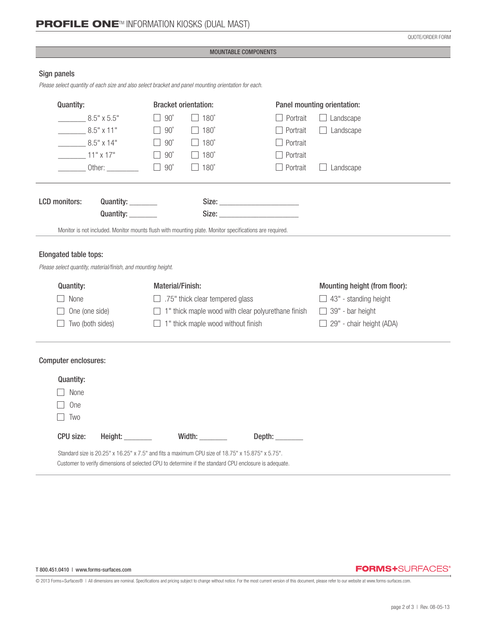QUOTE/ORDER FORM

#### MOUNTABLE COMPONENTS

## Sign panels

*Please select quantity of each size and also select bracket and panel mounting orientation for each.*

| Quantity:                                                                                             |                             | <b>Bracket orientation:</b>                               |                                                                                                         |                         | Panel mounting orientation:   |
|-------------------------------------------------------------------------------------------------------|-----------------------------|-----------------------------------------------------------|---------------------------------------------------------------------------------------------------------|-------------------------|-------------------------------|
| $8.5" \times 5.5"$                                                                                    |                             | $90^{\circ}$                                              | $180^\circ$                                                                                             | Portrait                | Landscape                     |
| $8.5" \times 11"$                                                                                     |                             | $90^\circ$                                                | $\Box$ 180 $^{\circ}$                                                                                   | Portrait                | $\Box$ Landscape              |
| $8.5" \times 14"$                                                                                     |                             | $90^\circ$                                                | $180^\circ$                                                                                             | Portrait                |                               |
| $11" \times 17"$                                                                                      |                             | $90^{\circ}$                                              | $\Box$ 180 $^{\circ}$                                                                                   | Portrait                |                               |
|                                                                                                       | ________ Other: ___________ | $90^{\circ}$                                              | $180^\circ$                                                                                             | Portrait                | Landscape                     |
|                                                                                                       |                             |                                                           |                                                                                                         |                         |                               |
| <b>LCD</b> monitors:                                                                                  | Quantity: ________          |                                                           |                                                                                                         |                         |                               |
|                                                                                                       | Quantity: _______           |                                                           |                                                                                                         |                         |                               |
|                                                                                                       |                             |                                                           | Monitor is not included. Monitor mounts flush with mounting plate. Monitor specifications are required. |                         |                               |
|                                                                                                       |                             |                                                           |                                                                                                         |                         |                               |
| Elongated table tops:                                                                                 |                             |                                                           |                                                                                                         |                         |                               |
| Please select quantity, material/finish, and mounting height.                                         |                             |                                                           |                                                                                                         |                         |                               |
| <b>Quantity:</b>                                                                                      |                             | Material/Finish:                                          |                                                                                                         |                         | Mounting height (from floor): |
| None                                                                                                  |                             | $\Box$ .75" thick clear tempered glass                    |                                                                                                         |                         | $\Box$ 43" - standing height  |
| One (one side)                                                                                        |                             | $\Box$ 1" thick maple wood with clear polyurethane finish |                                                                                                         | $\Box$ 39" - bar height |                               |
| Two (both sides)                                                                                      |                             | $\Box$ 1" thick maple wood without finish                 |                                                                                                         |                         | 29" - chair height (ADA)      |
|                                                                                                       |                             |                                                           |                                                                                                         |                         |                               |
| Computer enclosures:                                                                                  |                             |                                                           |                                                                                                         |                         |                               |
| Quantity:                                                                                             |                             |                                                           |                                                                                                         |                         |                               |
| None                                                                                                  |                             |                                                           |                                                                                                         |                         |                               |
| One                                                                                                   |                             |                                                           |                                                                                                         |                         |                               |
| Two                                                                                                   |                             |                                                           |                                                                                                         |                         |                               |
| <b>CPU size:</b>                                                                                      | Height: ________            |                                                           | Width:                                                                                                  | Depth: _________        |                               |
| Customer to verify dimensions of selected CPU to determine if the standard CPU enclosure is adequate. |                             |                                                           | Standard size is 20.25" x 16.25" x 7.5" and fits a maximum CPU size of 18.75" x 15.875" x 5.75".        |                         |                               |

# **FORMS+**SURFACES®

© 2013 Forms+Surfaces® | All dimensions are nominal. Specifications and pricing subject to change without notice. For the most current version of this document, please refer to our website at www.forms-surfaces.com.